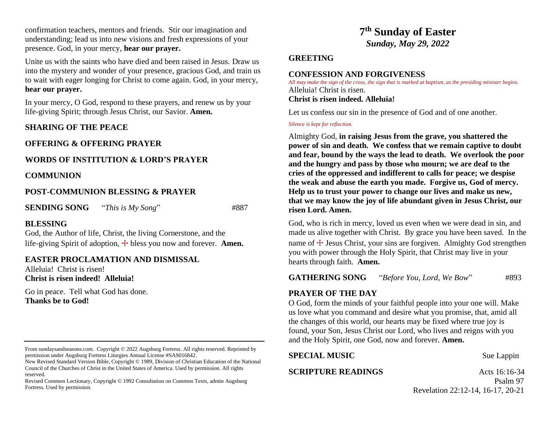confirmation teachers, mentors and friends. Stir our imagination and understanding; lead us into new visions and fresh expressions of your presence. God, in your mercy, **hear our prayer.**

Unite us with the saints who have died and been raised in Jesus. Draw us into the mystery and wonder of your presence, gracious God, and train us to wait with eager longing for Christ to come again. God, in your mercy, **hear our prayer.**

In your mercy, O God, respond to these prayers, and renew us by your life-giving Spirit; through Jesus Christ, our Savior. **Amen.**

#### **SHARING OF THE PEACE**

#### **OFFERING & OFFERING PRAYER**

## **WORDS OF INSTITUTION & LORD'S PRAYER**

#### **COMMUNION**

#### **POST-COMMUNION BLESSING & PRAYER**

**SENDING SONG** "*This is My Song*" #887

**BLESSING**

God, the Author of life, Christ, the living Cornerstone, and the life-giving Spirit of adoption,  $\pm$  bless you now and forever. **Amen.** 

#### **EASTER PROCLAMATION AND DISMISSAL**

Alleluia! Christ is risen! **Christ is risen indeed! Alleluia!**

Go in peace. Tell what God has done. **Thanks be to God!** 

# **7 th Sunday of Easter** *Sunday, May 29, 2022*

#### **GREETING**

#### **CONFESSION AND FORGIVENESS**

*All may make the sign of the cross, the sign that is marked at baptism, as the presiding minister begins.* Alleluia! Christ is risen. **Christ is risen indeed. Alleluia!**

Let us confess our sin in the presence of God and of one another.

*Silence is kept for reflection.*

Almighty God, **in raising Jesus from the grave, you shattered the power of sin and death. We confess that we remain captive to doubt and fear, bound by the ways the lead to death. We overlook the poor and the hungry and pass by those who mourn; we are deaf to the cries of the oppressed and indifferent to calls for peace; we despise the weak and abuse the earth you made. Forgive us, God of mercy. Help us to trust your power to change our lives and make us new, that we may know the joy of life abundant given in Jesus Christ, our risen Lord. Amen.** 

God, who is rich in mercy, loved us even when we were dead in sin, and made us alive together with Christ. By grace you have been saved. In the name of  $\pm$  Jesus Christ, your sins are forgiven. Almighty God strengthen you with power through the Holy Spirit, that Christ may live in your hearts through faith. **Amen.**

**GATHERING SONG** "*Before You, Lord, We Bow*" #893

### **PRAYER OF THE DAY**

O God, form the minds of your faithful people into your one will. Make us love what you command and desire what you promise, that, amid all the changes of this world, our hearts may be fixed where true joy is found, your Son, Jesus Christ our Lord, who lives and reigns with you and the Holy Spirit, one God, now and forever. **Amen.**

# **SPECIAL MUSIC** Sue Lappin

### **SCRIPTURE READINGS** Acts 16:16-34

 Psalm 97 Revelation 22:12-14, 16-17, 20-21

From sundaysandseasons.com. Copyright © 2022 Augsburg Fortress. All rights reserved. Reprinted by permission under Augsburg Fortress Liturgies Annual License #SAS016842.

New Revised Standard Version Bible, Copyright © 1989, Division of Christian Education of the National Council of the Churches of Christ in the United States of America. Used by permission. All rights reserved.

Revised Common Lectionary, Copyright © 1992 Consultation on Common Texts, admin Augsburg Fortress. Used by permission.